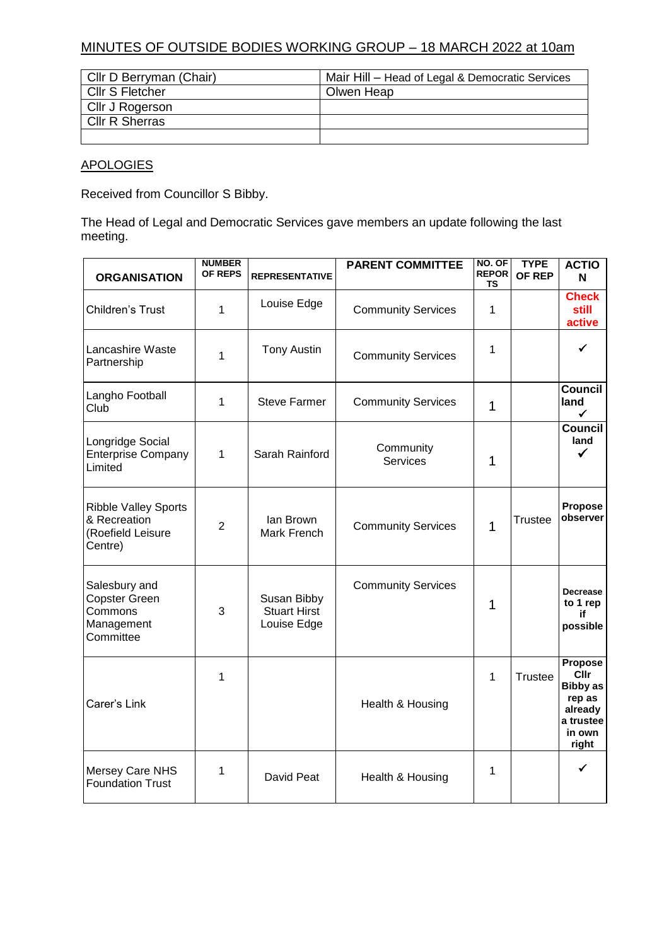## MINUTES OF OUTSIDE BODIES WORKING GROUP – 18 MARCH 2022 at 10am

| Cllr D Berryman (Chair) | Mair Hill - Head of Legal & Democratic Services |
|-------------------------|-------------------------------------------------|
| <b>CIIr S Fletcher</b>  | Olwen Heap                                      |
| Cllr J Rogerson         |                                                 |
| <b>CIIr R Sherras</b>   |                                                 |
|                         |                                                 |

## **APOLOGIES**

Received from Councillor S Bibby.

The Head of Legal and Democratic Services gave members an update following the last meeting.

| <b>ORGANISATION</b>                                                         | <b>NUMBER</b><br><b>OF REPS</b> | <b>REPRESENTATIVE</b>                             | <b>PARENT COMMITTEE</b>      | NO. OF<br><b>REPOR</b><br><b>TS</b> | <b>TYPE</b><br>OF REP | <b>ACTIO</b><br>N                                                                              |
|-----------------------------------------------------------------------------|---------------------------------|---------------------------------------------------|------------------------------|-------------------------------------|-----------------------|------------------------------------------------------------------------------------------------|
| Children's Trust                                                            | 1                               | Louise Edge                                       | <b>Community Services</b>    | 1                                   |                       | <b>Check</b><br>still<br>active                                                                |
| Lancashire Waste<br>Partnership                                             | $\mathbf{1}$                    | <b>Tony Austin</b>                                | <b>Community Services</b>    | 1                                   |                       | ✔                                                                                              |
| Langho Football<br>Club                                                     | 1                               | <b>Steve Farmer</b>                               | <b>Community Services</b>    | $\mathbf 1$                         |                       | <b>Council</b><br>land<br>✓                                                                    |
| Longridge Social<br><b>Enterprise Company</b><br>Limited                    | $\mathbf{1}$                    | Sarah Rainford                                    | Community<br><b>Services</b> | 1                                   |                       | <b>Council</b><br>land<br>✓                                                                    |
| <b>Ribble Valley Sports</b><br>& Recreation<br>(Roefield Leisure<br>Centre) | $\overline{2}$                  | Ian Brown<br>Mark French                          | <b>Community Services</b>    | 1                                   | <b>Trustee</b>        | <b>Propose</b><br>observer                                                                     |
| Salesbury and<br><b>Copster Green</b><br>Commons<br>Management<br>Committee | 3                               | Susan Bibby<br><b>Stuart Hirst</b><br>Louise Edge | <b>Community Services</b>    | 1                                   |                       | <b>Decrease</b><br>to 1 rep<br>if<br>possible                                                  |
| Carer's Link                                                                | 1                               |                                                   | Health & Housing             | 1                                   | Trustee               | Propose<br><b>Cllr</b><br><b>Bibby as</b><br>rep as<br>already<br>a trustee<br>in own<br>right |
| Mersey Care NHS<br><b>Foundation Trust</b>                                  | 1                               | David Peat                                        | Health & Housing             | 1                                   |                       | ✓                                                                                              |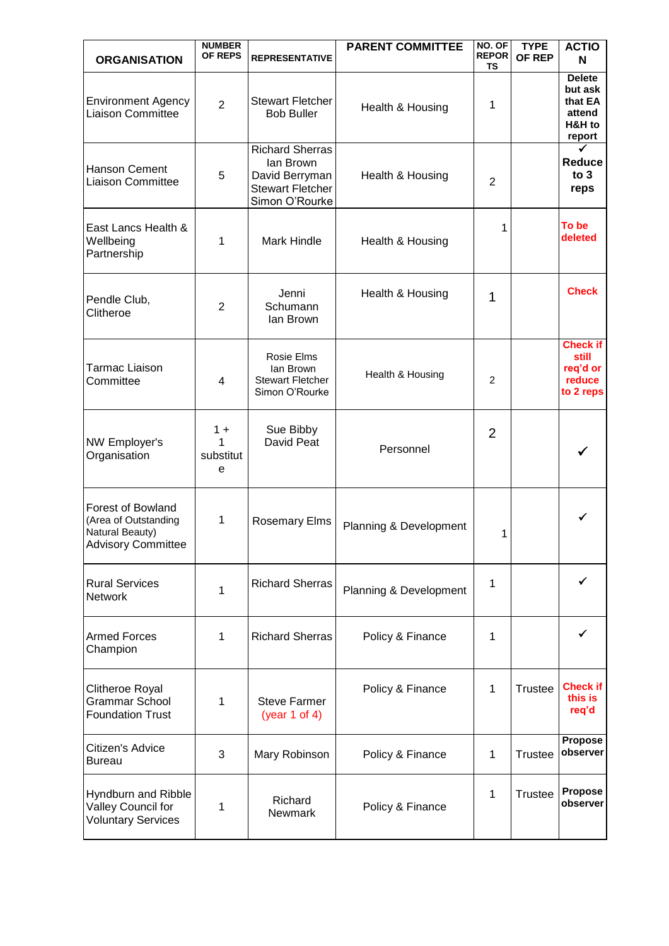| <b>ORGANISATION</b>                                                                              | <b>NUMBER</b><br><b>OF REPS</b> | <b>REPRESENTATIVE</b>                                                                              | <b>PARENT COMMITTEE</b> | NO. OF<br><b>REPOR</b><br>ΤS | <b>TYPE</b><br>OF REP | <b>ACTIO</b><br>N                                                 |
|--------------------------------------------------------------------------------------------------|---------------------------------|----------------------------------------------------------------------------------------------------|-------------------------|------------------------------|-----------------------|-------------------------------------------------------------------|
| <b>Environment Agency</b><br><b>Liaison Committee</b>                                            | $\overline{2}$                  | <b>Stewart Fletcher</b><br><b>Bob Buller</b>                                                       | Health & Housing        | 1                            |                       | <b>Delete</b><br>but ask<br>that EA<br>attend<br>H&H to<br>report |
| <b>Hanson Cement</b><br><b>Liaison Committee</b>                                                 | 5                               | <b>Richard Sherras</b><br>lan Brown<br>David Berryman<br><b>Stewart Fletcher</b><br>Simon O'Rourke | Health & Housing        | 2                            |                       | <b>Reduce</b><br>to 3<br>reps                                     |
| East Lancs Health &<br>Wellbeing<br>Partnership                                                  | 1                               | <b>Mark Hindle</b>                                                                                 | Health & Housing        | 1                            |                       | To be<br>deleted                                                  |
| Pendle Club,<br>Clitheroe                                                                        | 2                               | Jenni<br>Schumann<br>lan Brown                                                                     | Health & Housing        | 1                            |                       | <b>Check</b>                                                      |
| <b>Tarmac Liaison</b><br>Committee                                                               | 4                               | Rosie Elms<br>lan Brown<br><b>Stewart Fletcher</b><br>Simon O'Rourke                               | Health & Housing        | 2                            |                       | <b>Check if</b><br>still<br>req'd or<br>reduce<br>to 2 reps       |
| NW Employer's<br>Organisation                                                                    | $1 +$<br>1<br>substitut<br>e    | Sue Bibby<br>David Peat                                                                            | Personnel               | $\overline{2}$               |                       |                                                                   |
| <b>Forest of Bowland</b><br>(Area of Outstanding<br>Natural Beauty)<br><b>Advisory Committee</b> | 1                               | <b>Rosemary Elms</b>                                                                               | Planning & Development  | 1                            |                       |                                                                   |
| <b>Rural Services</b><br><b>Network</b>                                                          | 1                               | <b>Richard Sherras</b>                                                                             | Planning & Development  | 1                            |                       | ✓                                                                 |
| <b>Armed Forces</b><br>Champion                                                                  | 1                               | <b>Richard Sherras</b>                                                                             | Policy & Finance        | 1                            |                       |                                                                   |
| Clitheroe Royal<br><b>Grammar School</b><br><b>Foundation Trust</b>                              | 1                               | <b>Steve Farmer</b><br>(year 1 of 4)                                                               | Policy & Finance        | 1                            | Trustee               | <b>Check if</b><br>this is<br>req'd                               |
| Citizen's Advice<br><b>Bureau</b>                                                                | 3                               | Mary Robinson                                                                                      | Policy & Finance        | 1                            | <b>Trustee</b>        | <b>Propose</b><br>observer                                        |
| Hyndburn and Ribble<br>Valley Council for<br><b>Voluntary Services</b>                           | 1                               | Richard<br>Newmark                                                                                 | Policy & Finance        | 1                            | <b>Trustee</b>        | Propose<br>observer                                               |